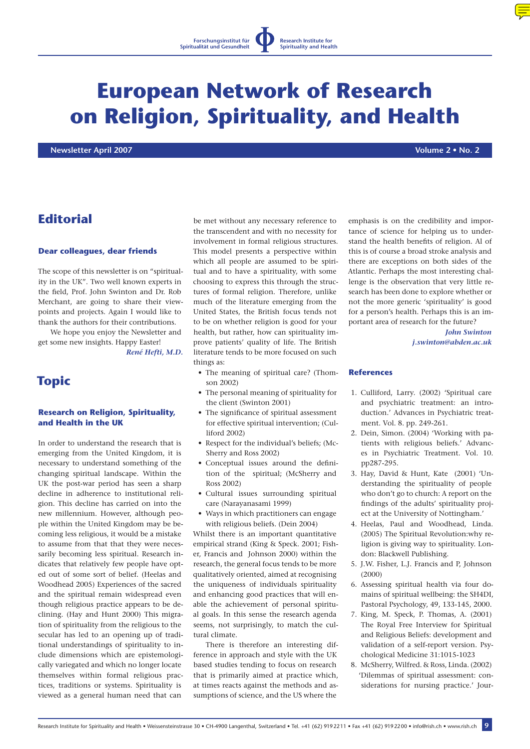# **European Network of Research on Religion, Spirituality, and Health**

 **Newsletter April 2007 Volume 2 • No. 2**

# **Editorial**

#### **Dear colleagues, dear friends**

The scope of this newsletter is on "spirituality in the UK". Two well known experts in the field, Prof. John Swinton and Dr. Rob Merchant, are going to share their viewpoints and projects. Again I would like to thank the authors for their contributions.

We hope you enjoy the Newsletter and get some new insights. Happy Easter!

*René Hefti, M.D.*

## **Topic**

#### **Research on Religion, Spirituality, and Health in the UK**

In order to understand the research that is emerging from the United Kingdom, it is necessary to understand something of the changing spiritual landscape. Within the UK the post-war period has seen a sharp decline in adherence to institutional religion. This decline has carried on into the new millennium. However, although people within the United Kingdom may be becoming less religious, it would be a mistake to assume from that that they were necessarily becoming less spiritual. Research indicates that relatively few people have opted out of some sort of belief. (Heelas and Woodhead 2005) Experiences of the sacred and the spiritual remain widespread even though religious practice appears to be declining. (Hay and Hunt 2000) This migration of spirituality from the religious to the secular has led to an opening up of traditional understandings of spirituality to include dimensions which are epistemologically variegated and which no longer locate themselves within formal religious practices, traditions or systems. Spirituality is viewed as a general human need that can

be met without any necessary reference to the transcendent and with no necessity for involvement in formal religious structures. This model presents a perspective within which all people are assumed to be spiritual and to have a spirituality, with some choosing to express this through the structures of formal religion. Therefore, unlike much of the literature emerging from the United States, the British focus tends not to be on whether religion is good for your health, but rather, how can spirituality improve patients' quality of life. The British literature tends to be more focused on such things as:

- The meaning of spiritual care? (Thomson 2002)
- The personal meaning of spirituality for the client (Swinton 2001)
- The significance of spiritual assessment for effective spiritual intervention; (Culliford 2002)
- Respect for the individual's beliefs; (Mc-Sherry and Ross 2002)
- Conceptual issues around the definition of the spiritual; (McSherry and Ross 2002)
- Cultural issues surrounding spiritual care (Narayanasami 1999)
- Ways in which practitioners can engage with religious beliefs. (Dein 2004)

Whilst there is an important quantitative empirical strand (King & Speck. 2001; Fisher, Francis and Johnson 2000) within the research, the general focus tends to be more qualitatively oriented, aimed at recognising the uniqueness of individuals spirituality and enhancing good practices that will enable the achievement of personal spiritual goals. In this sense the research agenda seems, not surprisingly, to match the cultural climate.

There is therefore an interesting difference in approach and style with the UK based studies tending to focus on research that is primarily aimed at practice which, at times reacts against the methods and assumptions of science, and the US where the

emphasis is on the credibility and importance of science for helping us to understand the health benefits of religion. Al of this is of course a broad stroke analysis and there are exceptions on both sides of the Atlantic. Perhaps the most interesting challenge is the observation that very little research has been done to explore whether or not the more generic 'spirituality' is good for a person's health. Perhaps this is an important area of research for the future?

> *John Swinton j.swinton@abden.ac.uk*

#### **References**

- 1. Culliford, Larry. (2002) 'Spiritual care and psychiatric treatment: an introduction.' Advances in Psychiatric treatment. Vol. 8. pp. 249-261.
- 2. Dein, Simon. (2004) 'Working with patients with religious beliefs.' Advances in Psychiatric Treatment. Vol. 10. pp287-295.
- 3. Hay, David & Hunt, Kate (2001) 'Understanding the spirituality of people who don't go to church: A report on the findings of the adults' spirituality project at the University of Nottingham.'
- 4. Heelas, Paul and Woodhead, Linda. (2005) The Spiritual Revolution:why religion is giving way to spirituality. London: Blackwell Publishing.
- 5. J.W. Fisher, L.J. Francis and P, Johnson (2000)
- 6. Assessing spiritual health via four domains of spiritual wellbeing: the SH4DI, Pastoral Psychology, 49, 133-145, 2000.
- 7. King, M. Speck, P. Thomas, A. (2001) The Royal Free Interview for Spiritual and Religious Beliefs: development and validation of a self-report version. Psychological Medicine 31:1015-1023
- 8. McSherry, Wilfred. & Ross, Linda. (2002) 'Dilemmas of spiritual assessment: considerations for nursing practice.' Jour-